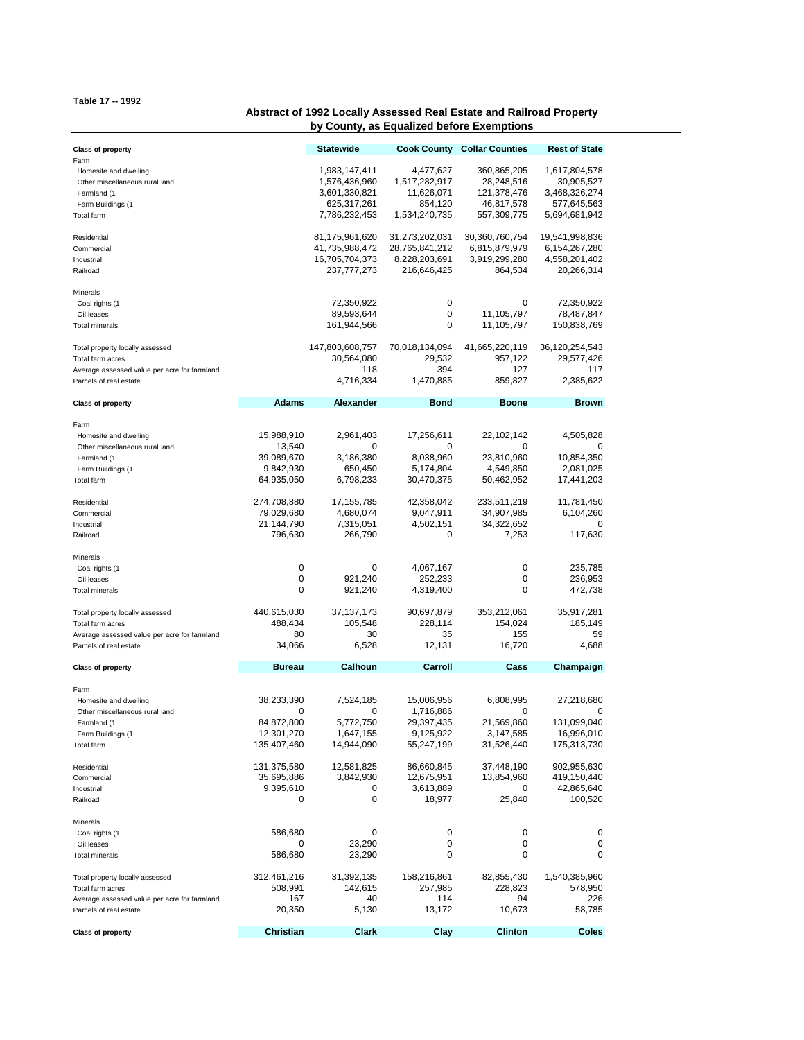**Table 17 -- 1992**

## **Abstract of 1992 Locally Assessed Real Estate and Railroad Property by County, as Equalized before Exemptions**

| <b>Class of property</b>                                                                                                                                                 |                                                                                                                     | <b>Statewide</b>                                                                                         |                                                                                                      | <b>Cook County Collar Counties</b>                                                                           | <b>Rest of State</b>                                                                               |
|--------------------------------------------------------------------------------------------------------------------------------------------------------------------------|---------------------------------------------------------------------------------------------------------------------|----------------------------------------------------------------------------------------------------------|------------------------------------------------------------------------------------------------------|--------------------------------------------------------------------------------------------------------------|----------------------------------------------------------------------------------------------------|
| Farm<br>Homesite and dwelling<br>Other miscellaneous rural land<br>Farmland (1<br>Farm Buildings (1<br><b>Total farm</b>                                                 |                                                                                                                     | 1,983,147,411<br>1,576,436,960<br>3,601,330,821<br>625,317,261<br>7,786,232,453                          | 4,477,627<br>1,517,282,917<br>11,626,071<br>854,120<br>1,534,240,735                                 | 360,865,205<br>28,248,516<br>121,378,476<br>46,817,578<br>557,309,775                                        | 1,617,804,578<br>30,905,527<br>3,468,326,274<br>577,645,563<br>5,694,681,942                       |
| Residential<br>Commercial<br>Industrial<br>Railroad                                                                                                                      |                                                                                                                     | 81,175,961,620<br>41,735,988,472<br>16,705,704,373<br>237,777,273                                        | 31,273,202,031<br>28,765,841,212<br>8,228,203,691<br>216,646,425                                     | 30,360,760,754<br>6,815,879,979<br>3,919,299,280<br>864,534                                                  | 19,541,998,836<br>6,154,267,280<br>4,558,201,402<br>20,266,314                                     |
| Minerals<br>Coal rights (1<br>Oil leases<br><b>Total minerals</b>                                                                                                        |                                                                                                                     | 72,350,922<br>89,593,644<br>161,944,566                                                                  | 0<br>0<br>0                                                                                          | 0<br>11,105,797<br>11,105,797                                                                                | 72,350,922<br>78,487,847<br>150,838,769                                                            |
| Total property locally assessed<br>Total farm acres<br>Average assessed value per acre for farmland<br>Parcels of real estate                                            |                                                                                                                     | 147,803,608,757<br>30,564,080<br>118<br>4,716,334                                                        | 70,018,134,094<br>29,532<br>394<br>1,470,885                                                         | 41,665,220,119<br>957,122<br>127<br>859,827                                                                  | 36,120,254,543<br>29,577,426<br>117<br>2,385,622                                                   |
| <b>Class of property</b>                                                                                                                                                 | Adams                                                                                                               | <b>Alexander</b>                                                                                         | Bond                                                                                                 | <b>Boone</b>                                                                                                 | <b>Brown</b>                                                                                       |
| Farm<br>Homesite and dwelling<br>Other miscellaneous rural land<br>Farmland (1<br>Farm Buildings (1<br>Total farm<br>Residential<br>Commercial<br>Industrial<br>Railroad | 15,988,910<br>13,540<br>39,089,670<br>9,842,930<br>64,935,050<br>274,708,880<br>79,029,680<br>21,144,790<br>796,630 | 2,961,403<br>0<br>3,186,380<br>650,450<br>6,798,233<br>17, 155, 785<br>4,680,074<br>7,315,051<br>266,790 | 17,256,611<br>0<br>8,038,960<br>5,174,804<br>30,470,375<br>42,358,042<br>9,047,911<br>4,502,151<br>0 | 22,102,142<br>0<br>23,810,960<br>4,549,850<br>50,462,952<br>233,511,219<br>34,907,985<br>34,322,652<br>7,253 | 4,505,828<br>0<br>10,854,350<br>2,081,025<br>17,441,203<br>11,781,450<br>6,104,260<br>0<br>117,630 |
| Minerals<br>Coal rights (1<br>Oil leases<br><b>Total minerals</b>                                                                                                        | 0<br>0<br>0                                                                                                         | 0<br>921,240<br>921,240                                                                                  | 4,067,167<br>252,233<br>4,319,400                                                                    | 0<br>0<br>0                                                                                                  | 235,785<br>236,953<br>472,738                                                                      |
| Total property locally assessed<br>Total farm acres<br>Average assessed value per acre for farmland<br>Parcels of real estate                                            | 440,615,030<br>488,434<br>80<br>34,066                                                                              | 37,137,173<br>105,548<br>30<br>6,528                                                                     | 90,697,879<br>228,114<br>35<br>12,131                                                                | 353,212,061<br>154,024<br>155<br>16,720                                                                      | 35,917,281<br>185,149<br>59<br>4,688                                                               |
| <b>Class of property</b>                                                                                                                                                 | <b>Bureau</b>                                                                                                       | <b>Calhoun</b>                                                                                           | Carroll                                                                                              | Cass                                                                                                         | Champaign                                                                                          |
| Farm<br>Homesite and dwelling<br>Other miscellaneous rural land<br>Farmland (1<br>Farm Buildings (1<br>Total farm                                                        | 38,233,390<br>0<br>84,872,800<br>12,301,270<br>135,407,460                                                          | 7,524,185<br>0<br>5,772,750<br>1,647,155<br>14,944,090                                                   | 15,006,956<br>1,716,886<br>29,397,435<br>9,125,922<br>55,247,199                                     | 6,808,995<br>0<br>21,569,860<br>3,147,585<br>31,526,440                                                      | 27,218,680<br>0<br>131,099,040<br>16,996,010<br>175,313,730                                        |
| Residential<br>Commercial<br>Industrial<br>Railroad                                                                                                                      | 131,375,580<br>35,695,886<br>9,395,610<br>0                                                                         | 12,581,825<br>3,842,930<br>0<br>0                                                                        | 86,660,845<br>12,675,951<br>3,613,889<br>18,977                                                      | 37,448,190<br>13,854,960<br>0<br>25,840                                                                      | 902,955,630<br>419,150,440<br>42,865,640<br>100,520                                                |
| Minerals<br>Coal rights (1<br>Oil leases<br>Total minerals                                                                                                               | 586,680<br>0<br>586,680                                                                                             | 0<br>23,290<br>23,290                                                                                    | 0<br>0<br>0                                                                                          | 0<br>0<br>0                                                                                                  | 0<br>0<br>0                                                                                        |
| Total property locally assessed<br>Total farm acres<br>Average assessed value per acre for farmland<br>Parcels of real estate                                            | 312,461,216<br>508,991<br>167<br>20,350                                                                             | 31,392,135<br>142,615<br>40<br>5,130                                                                     | 158,216,861<br>257,985<br>114<br>13,172                                                              | 82,855,430<br>228,823<br>94<br>10,673                                                                        | 1,540,385,960<br>578,950<br>226<br>58,785                                                          |
| <b>Class of property</b>                                                                                                                                                 | Christian                                                                                                           | Clark                                                                                                    | Clay                                                                                                 | <b>Clinton</b>                                                                                               | Coles                                                                                              |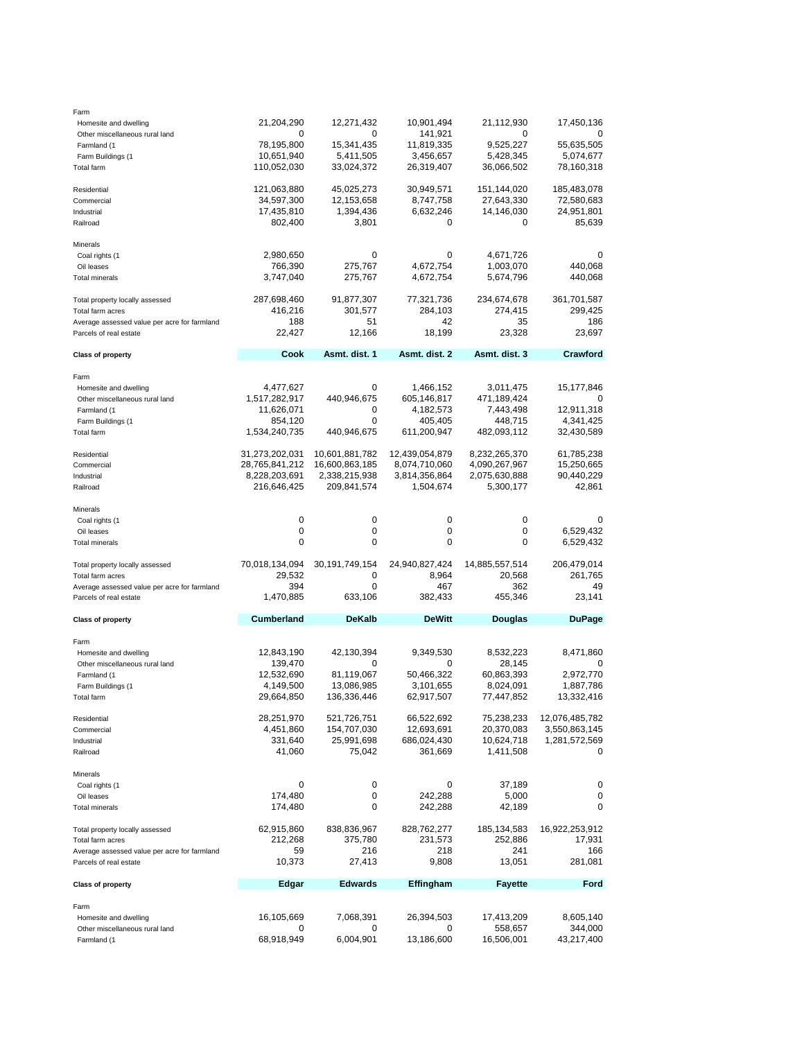| Farm                                         |                   |                   |                  |                |                |
|----------------------------------------------|-------------------|-------------------|------------------|----------------|----------------|
| Homesite and dwelling                        | 21,204,290        | 12,271,432        | 10,901,494       | 21,112,930     | 17,450,136     |
| Other miscellaneous rural land               | 0                 | 0                 | 141,921          | 0              | 0              |
|                                              |                   |                   |                  |                |                |
| Farmland (1                                  | 78,195,800        | 15,341,435        | 11,819,335       | 9,525,227      | 55,635,505     |
| Farm Buildings (1                            | 10,651,940        | 5,411,505         | 3,456,657        | 5,428,345      | 5,074,677      |
| Total farm                                   | 110,052,030       | 33,024,372        | 26,319,407       | 36,066,502     | 78,160,318     |
|                                              |                   |                   |                  |                |                |
|                                              |                   |                   |                  |                |                |
| Residential                                  | 121,063,880       | 45,025,273        | 30,949,571       | 151,144,020    | 185,483,078    |
| Commercial                                   | 34,597,300        | 12,153,658        | 8,747,758        | 27,643,330     | 72,580,683     |
| Industrial                                   | 17,435,810        | 1,394,436         | 6,632,246        | 14,146,030     | 24,951,801     |
|                                              | 802,400           | 3,801             | 0                | 0              | 85,639         |
| Railroad                                     |                   |                   |                  |                |                |
|                                              |                   |                   |                  |                |                |
| Minerals                                     |                   |                   |                  |                |                |
| Coal rights (1                               | 2,980,650         | 0                 | 0                | 4,671,726      | 0              |
| Oil leases                                   | 766,390           | 275,767           | 4,672,754        | 1,003,070      | 440,068        |
|                                              |                   |                   |                  |                |                |
| <b>Total minerals</b>                        | 3,747,040         | 275,767           | 4,672,754        | 5,674,796      | 440,068        |
|                                              |                   |                   |                  |                |                |
| Total property locally assessed              | 287,698,460       | 91,877,307        | 77,321,736       | 234,674,678    | 361,701,587    |
|                                              |                   |                   |                  |                |                |
| Total farm acres                             | 416,216           | 301,577           | 284,103          | 274,415        | 299,425        |
| Average assessed value per acre for farmland | 188               | 51                | 42               | 35             | 186            |
| Parcels of real estate                       | 22,427            | 12,166            | 18,199           | 23,328         | 23,697         |
|                                              |                   |                   |                  |                |                |
|                                              | Cook              | Asmt. dist. 1     | Asmt. dist. 2    | Asmt. dist. 3  | Crawford       |
| <b>Class of property</b>                     |                   |                   |                  |                |                |
|                                              |                   |                   |                  |                |                |
| Farm                                         |                   |                   |                  |                |                |
| Homesite and dwelling                        | 4,477,627         | 0                 | 1,466,152        | 3,011,475      | 15,177,846     |
| Other miscellaneous rural land               | 1,517,282,917     | 440,946,675       | 605,146,817      | 471,189,424    | 0              |
|                                              |                   |                   |                  |                |                |
| Farmland (1                                  | 11,626,071        | 0                 | 4,182,573        | 7,443,498      | 12,911,318     |
| Farm Buildings (1                            | 854,120           | 0                 | 405,405          | 448,715        | 4,341,425      |
| Total farm                                   | 1,534,240,735     | 440,946,675       | 611,200,947      | 482,093,112    | 32,430,589     |
|                                              |                   |                   |                  |                |                |
|                                              |                   |                   |                  |                |                |
| Residential                                  | 31,273,202,031    | 10,601,881,782    | 12,439,054,879   | 8,232,265,370  | 61,785,238     |
| Commercial                                   | 28,765,841,212    | 16,600,863,185    | 8,074,710,060    | 4,090,267,967  | 15,250,665     |
| Industrial                                   | 8,228,203,691     | 2,338,215,938     | 3,814,356,864    | 2,075,630,888  | 90,440,229     |
|                                              |                   |                   |                  |                |                |
| Railroad                                     | 216,646,425       | 209,841,574       | 1,504,674        | 5,300,177      | 42,861         |
|                                              |                   |                   |                  |                |                |
| Minerals                                     |                   |                   |                  |                |                |
| Coal rights (1                               | 0                 | 0                 | 0                | 0              | 0              |
|                                              | 0                 | 0                 | 0                | 0              |                |
| Oil leases                                   |                   |                   |                  |                | 6,529,432      |
| Total minerals                               | 0                 | 0                 | 0                | 0              | 6,529,432      |
|                                              |                   |                   |                  |                |                |
|                                              |                   |                   |                  |                |                |
|                                              |                   |                   |                  |                |                |
| Total property locally assessed              | 70,018,134,094    | 30, 191, 749, 154 | 24,940,827,424   | 14,885,557,514 | 206,479,014    |
| Total farm acres                             | 29,532            | 0                 | 8,964            | 20,568         | 261,765        |
| Average assessed value per acre for farmland | 394               | 0                 | 467              | 362            | 49             |
|                                              |                   |                   |                  |                |                |
| Parcels of real estate                       | 1,470,885         | 633,106           | 382,433          | 455,346        | 23,141         |
|                                              |                   |                   |                  |                |                |
| <b>Class of property</b>                     | <b>Cumberland</b> | <b>DeKalb</b>     | <b>DeWitt</b>    | <b>Douglas</b> | <b>DuPage</b>  |
|                                              |                   |                   |                  |                |                |
| Farm                                         |                   |                   |                  |                |                |
|                                              |                   |                   |                  |                |                |
| Homesite and dwelling                        | 12,843,190        | 42,130,394        | 9,349,530        | 8,532,223      | 8,471,860      |
| Other miscellaneous rural land               | 139,470           | 0                 | 0                | 28,145         | 0              |
| Farmland (1                                  | 12,532,690        | 81,119,067        | 50,466,322       | 60,863,393     | 2,972,770      |
|                                              |                   |                   | 3,101,655        |                |                |
| Farm Buildings (1                            | 4,149,500         | 13,086,985        |                  | 8,024,091      | 1,887,786      |
| Total farm                                   | 29,664,850        | 136,336,446       | 62,917,507       | 77,447,852     | 13,332,416     |
|                                              |                   |                   |                  |                |                |
| Residential                                  | 28,251,970        | 521,726,751       | 66,522,692       | 75,238,233     | 12,076,485,782 |
|                                              |                   |                   |                  |                |                |
| Commercial                                   | 4,451,860         | 154,707,030       | 12,693,691       | 20,370,083     | 3,550,863,145  |
| Industrial                                   | 331,640           | 25,991,698        | 686,024,430      | 10,624,718     | 1,281,572,569  |
| Railroad                                     | 41,060            | 75,042            | 361,669          | 1,411,508      | 0              |
|                                              |                   |                   |                  |                |                |
|                                              |                   |                   |                  |                |                |
| Minerals                                     |                   |                   |                  |                |                |
| Coal rights (1                               | 0                 | 0                 | 0                | 37,189         | 0              |
| Oil leases                                   | 174,480           | 0                 | 242,288          | 5,000          | 0              |
| <b>Total minerals</b>                        |                   | 0                 |                  |                | 0              |
|                                              | 174,480           |                   | 242,288          | 42,189         |                |
|                                              |                   |                   |                  |                |                |
| Total property locally assessed              | 62,915,860        | 838,836,967       | 828,762,277      | 185, 134, 583  | 16,922,253,912 |
| Total farm acres                             | 212,268           | 375,780           | 231,573          | 252,886        | 17,931         |
|                                              |                   |                   |                  |                |                |
| Average assessed value per acre for farmland | 59                | 216               | 218              | 241            | 166            |
| Parcels of real estate                       | 10,373            | 27,413            | 9,808            | 13,051         | 281,081        |
|                                              |                   |                   |                  |                |                |
| <b>Class of property</b>                     | Edgar             | <b>Edwards</b>    | <b>Effingham</b> | <b>Fayette</b> | Ford           |
|                                              |                   |                   |                  |                |                |
|                                              |                   |                   |                  |                |                |
| Farm                                         |                   |                   |                  |                |                |
| Homesite and dwelling                        | 16,105,669        | 7,068,391         | 26,394,503       | 17,413,209     | 8,605,140      |
| Other miscellaneous rural land               | 0                 | 0                 | 0                | 558,657        | 344,000        |
| Farmland (1                                  | 68,918,949        | 6,004,901         | 13,186,600       | 16,506,001     | 43,217,400     |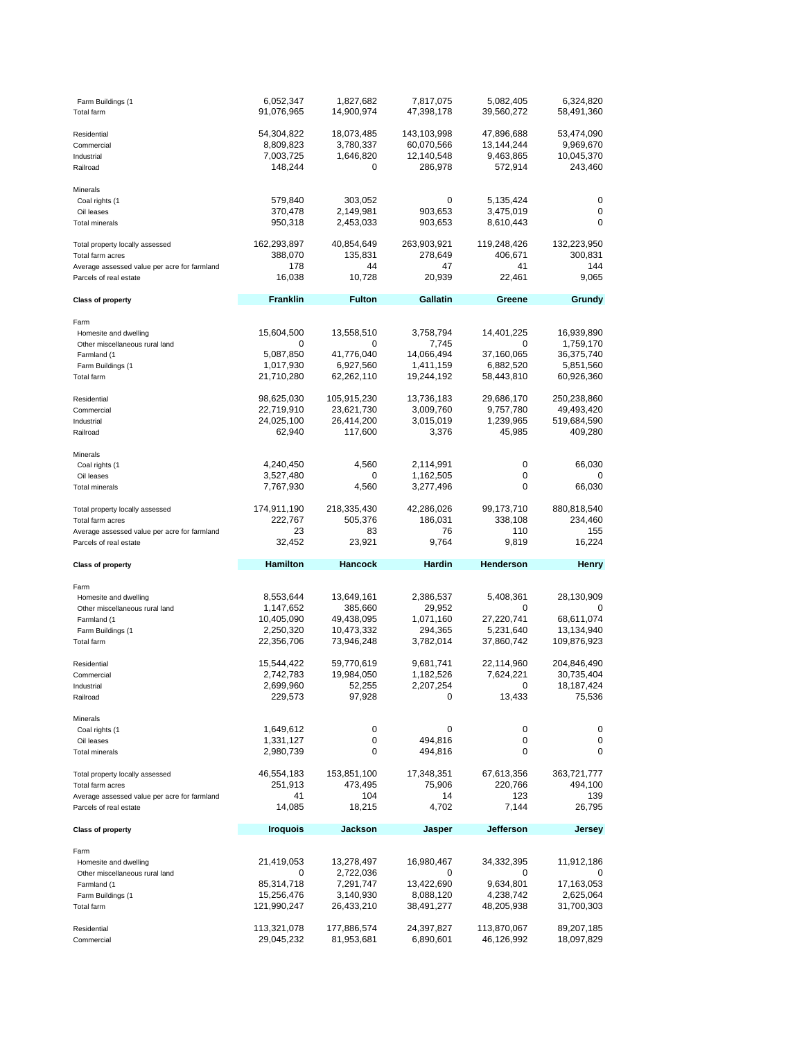| Farm Buildings (1<br><b>Total farm</b>                                 | 6,052,347<br>91,076,965              | 1,827,682<br>14,900,974              | 7,817,075<br>47,398,178                 | 5,082,405<br>39,560,272               | 6,324,820<br>58,491,360               |
|------------------------------------------------------------------------|--------------------------------------|--------------------------------------|-----------------------------------------|---------------------------------------|---------------------------------------|
| Residential<br>Commercial<br>Industrial                                | 54,304,822<br>8,809,823<br>7,003,725 | 18,073,485<br>3,780,337<br>1,646,820 | 143,103,998<br>60,070,566<br>12,140,548 | 47,896,688<br>13,144,244<br>9,463,865 | 53,474,090<br>9,969,670<br>10,045,370 |
| Railroad                                                               | 148,244                              | 0                                    | 286,978                                 | 572,914                               | 243,460                               |
| Minerals                                                               |                                      |                                      |                                         |                                       |                                       |
| Coal rights (1                                                         | 579,840                              | 303,052                              | 0                                       | 5,135,424                             | 0                                     |
| Oil leases<br><b>Total minerals</b>                                    | 370,478<br>950,318                   | 2,149,981<br>2,453,033               | 903,653<br>903,653                      | 3,475,019<br>8,610,443                | 0<br>0                                |
|                                                                        |                                      |                                      |                                         |                                       |                                       |
| Total property locally assessed                                        | 162,293,897                          | 40,854,649                           | 263,903,921                             | 119,248,426                           | 132,223,950                           |
| Total farm acres                                                       | 388,070                              | 135,831<br>44                        | 278,649<br>47                           | 406,671<br>41                         | 300,831<br>144                        |
| Average assessed value per acre for farmland<br>Parcels of real estate | 178<br>16,038                        | 10,728                               | 20,939                                  | 22,461                                | 9,065                                 |
| <b>Class of property</b>                                               | <b>Franklin</b>                      | <b>Fulton</b>                        | Gallatin                                | Greene                                | Grundy                                |
|                                                                        |                                      |                                      |                                         |                                       |                                       |
| Farm                                                                   |                                      |                                      |                                         |                                       |                                       |
| Homesite and dwelling<br>Other miscellaneous rural land                | 15,604,500<br>0                      | 13,558,510<br>0                      | 3,758,794<br>7,745                      | 14,401,225<br>0                       | 16,939,890<br>1,759,170               |
| Farmland (1                                                            | 5,087,850                            | 41,776,040                           | 14,066,494                              | 37,160,065                            | 36,375,740                            |
| Farm Buildings (1                                                      | 1,017,930                            | 6,927,560                            | 1,411,159                               | 6,882,520                             | 5,851,560                             |
| <b>Total farm</b>                                                      | 21,710,280                           | 62,262,110                           | 19,244,192                              | 58,443,810                            | 60,926,360                            |
| Residential                                                            | 98,625,030                           | 105,915,230                          | 13,736,183                              | 29,686,170                            | 250,238,860                           |
| Commercial                                                             | 22,719,910                           | 23,621,730                           | 3,009,760                               | 9,757,780                             | 49,493,420                            |
| Industrial                                                             | 24,025,100                           | 26,414,200                           | 3,015,019                               | 1,239,965                             | 519,684,590                           |
| Railroad                                                               | 62,940                               | 117,600                              | 3,376                                   | 45,985                                | 409,280                               |
| Minerals                                                               |                                      |                                      |                                         |                                       |                                       |
| Coal rights (1                                                         | 4,240,450                            | 4,560                                | 2,114,991                               | 0                                     | 66,030                                |
| Oil leases                                                             | 3,527,480                            | 0                                    | 1,162,505                               | 0                                     | 0                                     |
| <b>Total minerals</b>                                                  | 7,767,930                            | 4,560                                | 3,277,496                               | 0                                     | 66,030                                |
| Total property locally assessed                                        | 174,911,190                          | 218,335,430                          | 42,286,026                              | 99,173,710                            | 880,818,540                           |
| Total farm acres                                                       | 222,767                              | 505,376                              | 186,031                                 | 338,108                               | 234,460                               |
|                                                                        |                                      |                                      |                                         |                                       |                                       |
| Average assessed value per acre for farmland                           | 23                                   | 83                                   | 76                                      | 110                                   | 155                                   |
| Parcels of real estate                                                 | 32,452                               | 23,921                               | 9,764                                   | 9,819                                 | 16,224                                |
| <b>Class of property</b>                                               | <b>Hamilton</b>                      | Hancock                              | Hardin                                  | Henderson                             | Henry                                 |
|                                                                        |                                      |                                      |                                         |                                       |                                       |
| Farm<br>Homesite and dwelling                                          | 8,553,644                            | 13,649,161                           | 2,386,537                               | 5,408,361                             | 28,130,909                            |
| Other miscellaneous rural land                                         | 1,147,652                            | 385,660                              | 29,952                                  | 0                                     | 0                                     |
| Farmland (1                                                            | 10,405,090                           | 49,438,095                           | 1,071,160                               | 27,220,741                            | 68,611,074                            |
| Farm Buildings (1                                                      | 2,250,320                            | 10,473,332                           | 294,365                                 | 5,231,640                             | 13,134,940                            |
| Total farm                                                             | 22,356,706                           | 73,946,248                           | 3,782,014                               | 37,860,742                            | 109,876,923                           |
| Residential                                                            | 15,544,422                           | 59,770,619                           | 9,681,741                               | 22,114,960                            | 204,846,490                           |
| Commercial                                                             | 2,742,783                            | 19,984,050                           | 1,182,526                               | 7,624,221                             | 30,735,404                            |
| Industrial                                                             | 2,699,960                            | 52,255                               | 2,207,254                               | 0                                     | 18, 187, 424                          |
| Railroad                                                               | 229,573                              | 97,928                               | 0                                       | 13,433                                | 75,536                                |
| Minerals                                                               |                                      |                                      |                                         |                                       |                                       |
| Coal rights (1                                                         | 1,649,612                            | 0                                    | 0                                       | 0                                     | 0                                     |
| Oil leases<br><b>Total minerals</b>                                    | 1,331,127<br>2,980,739               | 0<br>0                               | 494,816<br>494,816                      | 0<br>0                                | 0<br>0                                |
|                                                                        |                                      |                                      |                                         |                                       |                                       |
| Total property locally assessed                                        | 46,554,183                           | 153,851,100                          | 17,348,351                              | 67,613,356                            | 363,721,777                           |
| Total farm acres<br>Average assessed value per acre for farmland       | 251,913<br>41                        | 473,495<br>104                       | 75,906<br>14                            | 220,766<br>123                        | 494,100<br>139                        |
| Parcels of real estate                                                 | 14,085                               | 18,215                               | 4,702                                   | 7,144                                 | 26,795                                |
| <b>Class of property</b>                                               | <b>Iroquois</b>                      | Jackson                              | Jasper                                  | Jefferson                             | <b>Jersey</b>                         |
|                                                                        |                                      |                                      |                                         |                                       |                                       |
| Farm                                                                   |                                      |                                      |                                         |                                       |                                       |
| Homesite and dwelling<br>Other miscellaneous rural land                | 21,419,053<br>0                      | 13,278,497                           | 16,980,467<br>0                         | 34,332,395<br>0                       | 11,912,186<br>0                       |
| Farmland (1                                                            | 85,314,718                           | 2,722,036<br>7,291,747               | 13,422,690                              | 9,634,801                             | 17,163,053                            |
| Farm Buildings (1                                                      | 15,256,476                           | 3,140,930                            | 8,088,120                               | 4,238,742                             | 2,625,064                             |
| Total farm                                                             | 121,990,247                          | 26,433,210                           | 38,491,277                              | 48,205,938                            | 31,700,303                            |
| Residential                                                            | 113,321,078                          | 177,886,574                          | 24,397,827                              | 113,870,067                           | 89,207,185                            |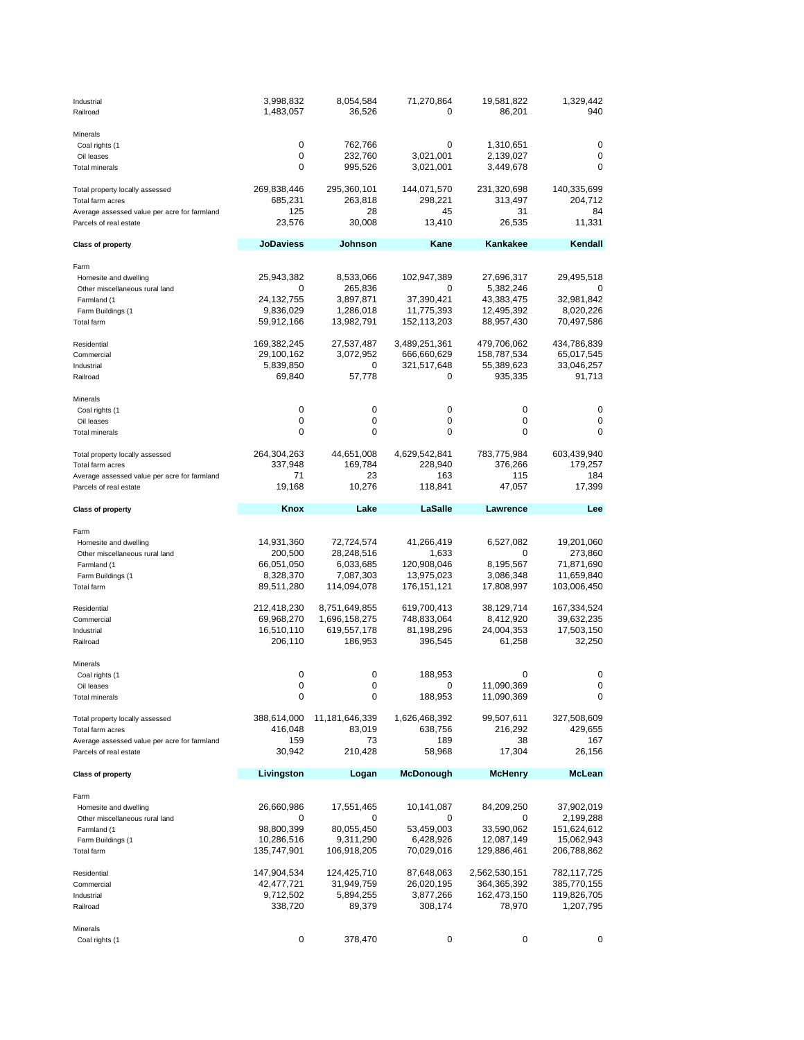| Industrial<br>Railroad                       | 3,998,832<br>1,483,057    | 8,054,584<br>36,526            | 71,270,864<br>0            | 19,581,822<br>86,201     | 1,329,442<br>940          |
|----------------------------------------------|---------------------------|--------------------------------|----------------------------|--------------------------|---------------------------|
| Minerals                                     |                           |                                |                            |                          |                           |
| Coal rights (1                               | 0                         | 762,766                        | 0                          | 1,310,651                | 0                         |
| Oil leases                                   | 0                         | 232,760                        | 3,021,001                  | 2,139,027                | 0                         |
| Total minerals                               | 0                         | 995,526                        | 3,021,001                  | 3,449,678                | $\Omega$                  |
| Total property locally assessed              | 269,838,446               | 295,360,101                    | 144,071,570                | 231,320,698              | 140,335,699               |
| Total farm acres                             | 685,231                   | 263,818                        | 298,221                    | 313,497                  | 204,712                   |
| Average assessed value per acre for farmland | 125                       | 28                             | 45                         | 31                       | 84                        |
| Parcels of real estate                       | 23,576                    | 30,008                         | 13,410                     | 26,535                   | 11,331                    |
| <b>Class of property</b>                     | <b>JoDaviess</b>          | Johnson                        | Kane                       | Kankakee                 | Kendall                   |
| Farm                                         |                           |                                |                            |                          |                           |
| Homesite and dwelling                        | 25,943,382                | 8,533,066                      | 102,947,389                | 27,696,317               | 29,495,518                |
| Other miscellaneous rural land               | 0                         | 265,836                        | 0                          | 5,382,246                |                           |
| Farmland (1                                  | 24, 132, 755              | 3,897,871                      | 37,390,421                 | 43,383,475               | 32,981,842                |
| Farm Buildings (1                            | 9,836,029                 | 1,286,018                      | 11,775,393                 | 12,495,392               | 8,020,226                 |
| Total farm                                   | 59,912,166                | 13,982,791                     | 152,113,203                | 88,957,430               | 70,497,586                |
| Residential                                  | 169,382,245               | 27,537,487                     | 3,489,251,361              | 479,706,062              | 434,786,839               |
| Commercial                                   | 29,100,162                | 3,072,952                      | 666,660,629                | 158,787,534              | 65,017,545                |
| Industrial                                   | 5,839,850                 | 0                              | 321,517,648                | 55,389,623               | 33,046,257                |
| Railroad                                     | 69,840                    | 57,778                         | 0                          | 935,335                  | 91,713                    |
| Minerals                                     |                           |                                |                            |                          |                           |
| Coal rights (1                               | 0                         | 0                              | 0                          | 0                        | 0                         |
| Oil leases                                   | 0                         | 0                              | 0                          | 0                        | 0                         |
| Total minerals                               | 0                         | 0                              | 0                          | 0                        | 0                         |
| Total property locally assessed              | 264,304,263               | 44,651,008                     | 4,629,542,841              | 783,775,984              | 603,439,940               |
| Total farm acres                             | 337,948                   | 169,784                        | 228,940                    | 376,266                  | 179,257                   |
| Average assessed value per acre for farmland | 71                        | 23                             | 163                        | 115                      | 184                       |
| Parcels of real estate                       | 19,168                    | 10,276                         | 118,841                    | 47,057                   | 17,399                    |
| <b>Class of property</b>                     | Knox                      | Lake                           | LaSalle                    | Lawrence                 | Lee                       |
|                                              |                           |                                |                            |                          |                           |
| Farm<br>Homesite and dwelling                | 14,931,360                | 72,724,574                     | 41,266,419                 | 6,527,082                | 19,201,060                |
| Other miscellaneous rural land               | 200,500                   | 28,248,516                     | 1,633                      | 0                        | 273,860                   |
| Farmland (1                                  | 66,051,050                | 6,033,685                      | 120,908,046                | 8,195,567                | 71,871,690                |
| Farm Buildings (1                            | 8,328,370                 | 7,087,303                      | 13,975,023                 | 3,086,348                | 11,659,840                |
| <b>Total farm</b>                            | 89,511,280                | 114,094,078                    | 176,151,121                | 17,808,997               | 103,006,450               |
|                                              |                           |                                |                            |                          |                           |
| Residential<br>Commercial                    | 212,418,230<br>69,968,270 | 8,751,649,855<br>1,696,158,275 | 619,700,413<br>748,833,064 | 38,129,714<br>8,412,920  | 167,334,524<br>39,632,235 |
| Industrial                                   | 16,510,110                | 619,557,178                    | 81,198,296                 | 24,004,353               | 17,503,150                |
| Railroad                                     | 206,110                   | 186,953                        | 396,545                    | 61,258                   | 32,250                    |
|                                              |                           |                                |                            |                          |                           |
| Minerals                                     |                           |                                |                            |                          |                           |
| Coal rights (1<br>Oil leases                 | 0<br>0                    | 0<br>0                         | 188,953<br>0               | 0                        | 0<br>0                    |
| <b>Total minerals</b>                        | 0                         | 0                              | 188,953                    | 11,090,369<br>11,090,369 | 0                         |
|                                              |                           |                                |                            |                          |                           |
| Total property locally assessed              | 388,614,000               | 11,181,646,339                 | 1,626,468,392              | 99,507,611               | 327,508,609               |
| Total farm acres                             | 416,048                   | 83,019                         | 638,756                    | 216,292                  | 429,655                   |
| Average assessed value per acre for farmland | 159                       | 73                             | 189                        | 38                       | 167                       |
| Parcels of real estate                       | 30,942                    | 210,428                        | 58,968                     | 17,304                   | 26,156                    |
| <b>Class of property</b>                     | Livingston                | Logan                          | <b>McDonough</b>           | <b>McHenry</b>           | McLean                    |
| Farm                                         |                           |                                |                            |                          |                           |
| Homesite and dwelling                        | 26,660,986                | 17,551,465                     | 10,141,087                 | 84,209,250               | 37,902,019                |
| Other miscellaneous rural land               | 0                         | 0                              | 0                          | 0                        | 2,199,288                 |
| Farmland (1                                  | 98,800,399                | 80,055,450                     | 53,459,003                 | 33,590,062               | 151,624,612               |
| Farm Buildings (1                            | 10,286,516                | 9,311,290                      | 6,428,926                  | 12,087,149               | 15,062,943                |
| Total farm                                   | 135,747,901               | 106,918,205                    | 70,029,016                 | 129,886,461              | 206,788,862               |
| Residential                                  | 147,904,534               | 124,425,710                    | 87,648,063                 | 2,562,530,151            | 782,117,725               |
| Commercial                                   | 42,477,721                | 31,949,759                     | 26,020,195                 | 364,365,392              | 385,770,155               |
| Industrial                                   | 9,712,502                 | 5,894,255                      | 3,877,266                  | 162,473,150              | 119,826,705               |
| Railroad                                     | 338,720                   | 89,379                         | 308,174                    | 78,970                   | 1,207,795                 |
| Minerals                                     |                           |                                |                            |                          |                           |
| Coal rights (1                               | 0                         | 378,470                        | 0                          | 0                        | 0                         |
|                                              |                           |                                |                            |                          |                           |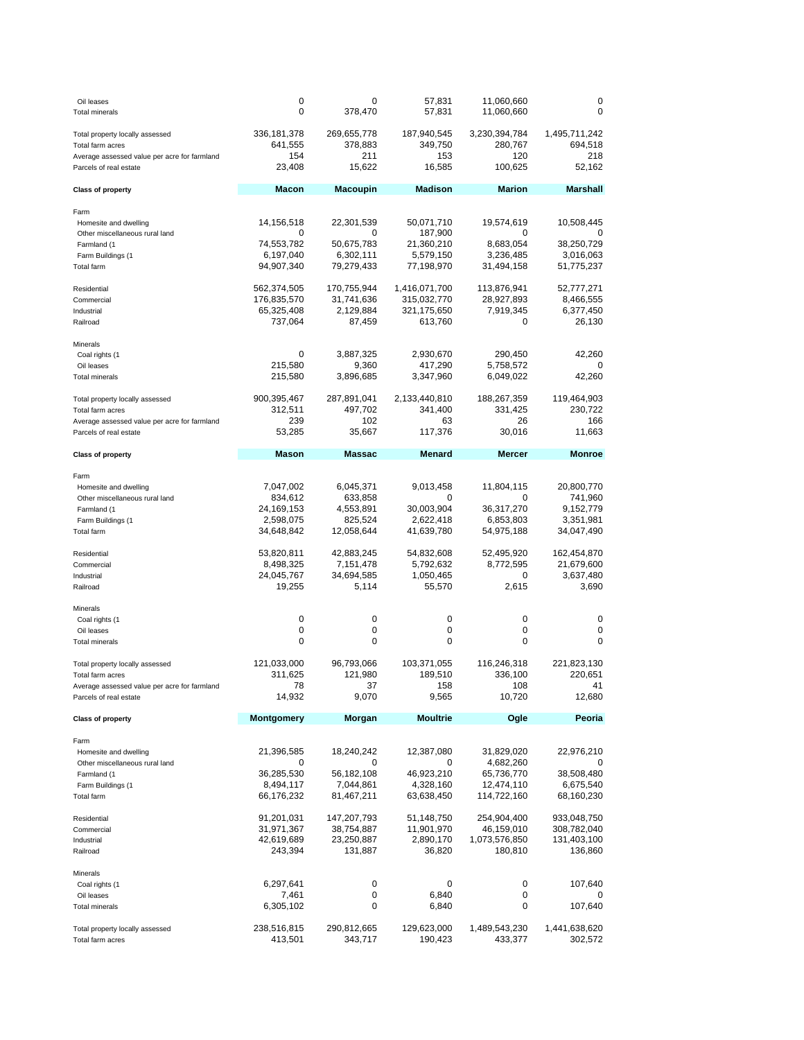| Oil leases<br><b>Total minerals</b>                                    | 0<br>0                  | 0<br>378,470            | 57,831<br>57,831         | 11,060,660<br>11,060,660 | 0<br>0                    |
|------------------------------------------------------------------------|-------------------------|-------------------------|--------------------------|--------------------------|---------------------------|
| Total property locally assessed<br>Total farm acres                    | 336,181,378<br>641,555  | 269,655,778<br>378,883  | 187,940,545<br>349,750   | 3,230,394,784<br>280,767 | 1,495,711,242<br>694,518  |
| Average assessed value per acre for farmland<br>Parcels of real estate | 154<br>23,408           | 211<br>15,622           | 153<br>16,585            | 120<br>100,625           | 218<br>52,162             |
| <b>Class of property</b>                                               | <b>Macon</b>            | <b>Macoupin</b>         | <b>Madison</b>           | <b>Marion</b>            | <b>Marshall</b>           |
| Farm                                                                   |                         |                         |                          |                          |                           |
| Homesite and dwelling                                                  | 14,156,518              | 22,301,539              | 50,071,710               | 19,574,619               | 10,508,445                |
| Other miscellaneous rural land<br>Farmland (1                          | 0<br>74,553,782         | 0<br>50,675,783         | 187,900<br>21,360,210    | 0<br>8,683,054           | 38,250,729                |
| Farm Buildings (1                                                      | 6,197,040               | 6,302,111               | 5,579,150                | 3,236,485                | 3,016,063                 |
| <b>Total farm</b>                                                      | 94,907,340              | 79,279,433              | 77,198,970               | 31,494,158               | 51,775,237                |
| Residential                                                            | 562,374,505             | 170,755,944             | 1,416,071,700            | 113,876,941              | 52,777,271                |
| Commercial                                                             | 176,835,570             | 31,741,636              | 315,032,770              | 28,927,893               | 8,466,555                 |
| Industrial                                                             | 65,325,408              | 2,129,884               | 321,175,650              | 7,919,345                | 6,377,450                 |
| Railroad                                                               | 737,064                 | 87,459                  | 613,760                  | 0                        | 26,130                    |
| Minerals                                                               |                         |                         |                          |                          |                           |
| Coal rights (1<br>Oil leases                                           | 0<br>215,580            | 3,887,325<br>9,360      | 2,930,670<br>417,290     | 290,450<br>5,758,572     | 42,260<br>0               |
| <b>Total minerals</b>                                                  | 215,580                 | 3,896,685               | 3,347,960                | 6,049,022                | 42,260                    |
|                                                                        |                         |                         |                          |                          |                           |
| Total property locally assessed<br>Total farm acres                    | 900,395,467<br>312,511  | 287,891,041<br>497,702  | 2,133,440,810<br>341,400 | 188,267,359<br>331,425   | 119,464,903<br>230,722    |
| Average assessed value per acre for farmland                           | 239                     | 102                     | 63                       | 26                       | 166                       |
| Parcels of real estate                                                 | 53,285                  | 35,667                  | 117,376                  | 30,016                   | 11,663                    |
| <b>Class of property</b>                                               | <b>Mason</b>            | <b>Massac</b>           | <b>Menard</b>            | <b>Mercer</b>            | <b>Monroe</b>             |
|                                                                        |                         |                         |                          |                          |                           |
| Farm<br>Homesite and dwelling                                          | 7,047,002               | 6,045,371               | 9,013,458                | 11,804,115               | 20,800,770                |
| Other miscellaneous rural land                                         | 834,612                 | 633,858                 | 0                        | 0                        | 741,960                   |
| Farmland (1                                                            | 24,169,153              | 4,553,891               | 30,003,904               | 36,317,270               | 9,152,779                 |
| Farm Buildings (1<br>Total farm                                        | 2,598,075<br>34,648,842 | 825,524<br>12,058,644   | 2,622,418<br>41,639,780  | 6,853,803<br>54,975,188  | 3,351,981<br>34,047,490   |
|                                                                        |                         |                         |                          |                          |                           |
| Residential<br>Commercial                                              | 53,820,811<br>8,498,325 | 42,883,245<br>7,151,478 | 54,832,608<br>5,792,632  | 52,495,920<br>8,772,595  | 162,454,870<br>21,679,600 |
| Industrial                                                             | 24,045,767              | 34,694,585              | 1,050,465                | 0                        | 3,637,480                 |
| Railroad                                                               | 19,255                  | 5,114                   | 55,570                   | 2,615                    | 3,690                     |
| Minerals                                                               |                         |                         |                          |                          |                           |
| Coal rights (1                                                         | 0                       | 0                       | 0                        | 0                        | 0                         |
| Oil leases                                                             | 0<br>0                  | 0                       | 0                        | 0                        | 0                         |
| <b>Total minerals</b>                                                  |                         | 0                       | 0                        | 0                        | 0                         |
| Total property locally assessed                                        | 121,033,000             | 96,793,066              | 103,371,055              | 116,246,318              | 221,823,130               |
| Total farm acres                                                       | 311,625<br>78           | 121,980<br>37           | 189,510<br>158           | 336,100<br>108           | 220,651<br>41             |
| Average assessed value per acre for farmland<br>Parcels of real estate | 14,932                  | 9,070                   | 9,565                    | 10,720                   | 12,680                    |
| <b>Class of property</b>                                               | Montgomery              | Morgan                  | <b>Moultrie</b>          | Ogle                     | Peoria                    |
|                                                                        |                         |                         |                          |                          |                           |
| Farm                                                                   |                         |                         |                          |                          |                           |
| Homesite and dwelling<br>Other miscellaneous rural land                | 21,396,585<br>0         | 18,240,242<br>0         | 12,387,080<br>0          | 31,829,020<br>4,682,260  | 22,976,210<br>0           |
| Farmland (1                                                            | 36,285,530              | 56,182,108              | 46,923,210               | 65,736,770               | 38,508,480                |
| Farm Buildings (1                                                      | 8,494,117               | 7,044,861               | 4,328,160                | 12,474,110               | 6,675,540                 |
| Total farm                                                             | 66,176,232              | 81,467,211              | 63,638,450               | 114,722,160              | 68,160,230                |
| Residential                                                            | 91,201,031              | 147,207,793             | 51,148,750               | 254,904,400              | 933,048,750               |
| Commercial                                                             | 31,971,367              | 38,754,887              | 11,901,970               | 46,159,010               | 308,782,040               |
| Industrial<br>Railroad                                                 | 42,619,689<br>243,394   | 23,250,887<br>131,887   | 2,890,170<br>36,820      | 1,073,576,850<br>180,810 | 131,403,100<br>136,860    |
|                                                                        |                         |                         |                          |                          |                           |
| Minerals<br>Coal rights (1                                             | 6,297,641               | 0                       | 0                        | 0                        | 107,640                   |
| Oil leases                                                             | 7,461                   | 0                       | 6,840                    | 0                        | O                         |
| <b>Total minerals</b>                                                  | 6,305,102               | 0                       | 6,840                    | 0                        | 107,640                   |
| Total property locally assessed                                        | 238,516,815             | 290,812,665             | 129,623,000              | 1,489,543,230            | 1,441,638,620             |
| Total farm acres                                                       | 413,501                 | 343,717                 | 190,423                  | 433,377                  | 302,572                   |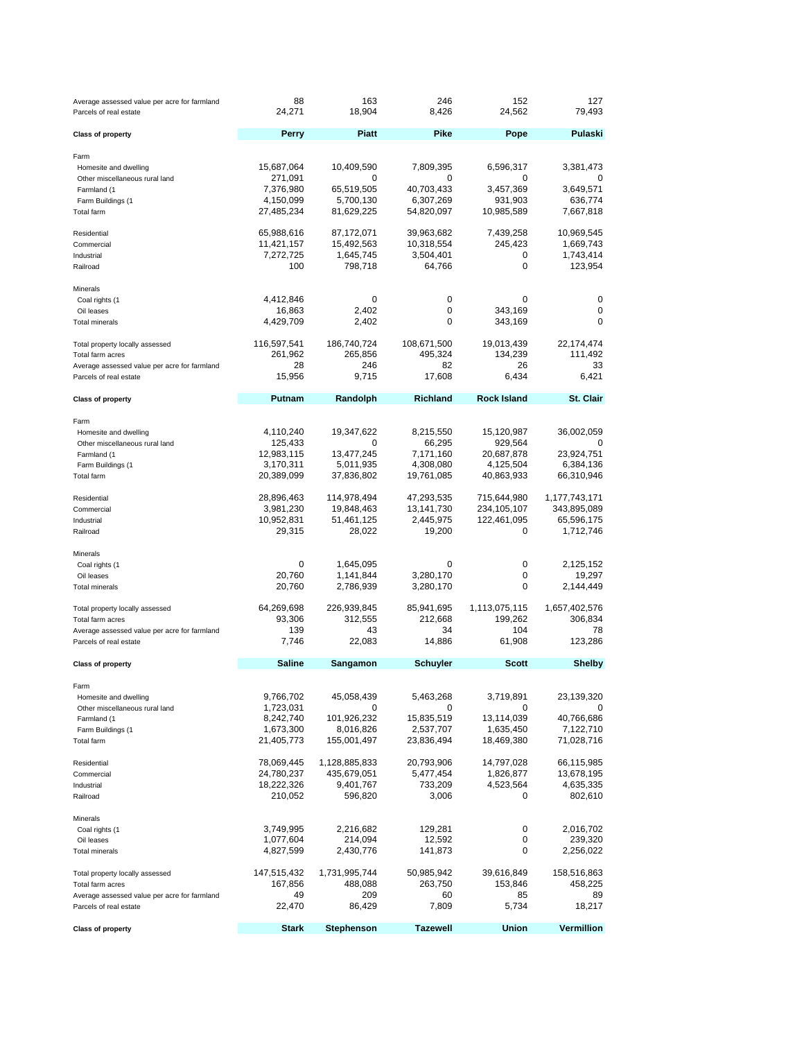| Average assessed value per acre for farmland<br>Parcels of real estate | 88<br>24,271           | 163<br>18,904          | 246<br>8,426           | 152<br>24,562         | 127<br>79,493        |
|------------------------------------------------------------------------|------------------------|------------------------|------------------------|-----------------------|----------------------|
| <b>Class of property</b>                                               | <b>Perry</b>           | <b>Piatt</b>           | Pike                   | Pope                  | Pulaski              |
| Farm                                                                   |                        |                        |                        |                       |                      |
| Homesite and dwelling                                                  | 15,687,064             | 10,409,590             | 7,809,395              | 6,596,317             | 3,381,473            |
| Other miscellaneous rural land                                         | 271,091<br>7,376,980   | 0<br>65,519,505        | 0<br>40,703,433        | 0<br>3,457,369        | 3,649,571            |
| Farmland (1<br>Farm Buildings (1                                       | 4,150,099              | 5,700,130              | 6,307,269              | 931,903               | 636,774              |
| Total farm                                                             | 27,485,234             | 81,629,225             | 54,820,097             | 10,985,589            | 7,667,818            |
| Residential                                                            | 65,988,616             | 87,172,071             | 39,963,682             | 7,439,258             | 10,969,545           |
| Commercial                                                             | 11,421,157             | 15,492,563             | 10,318,554             | 245,423               | 1,669,743            |
| Industrial                                                             | 7,272,725              | 1,645,745              | 3,504,401              | 0                     | 1,743,414            |
| Railroad                                                               | 100                    | 798,718                | 64,766                 | 0                     | 123,954              |
| Minerals                                                               |                        |                        |                        |                       |                      |
| Coal rights (1                                                         | 4,412,846              | 0                      | 0                      | 0                     | 0                    |
| Oil leases<br><b>Total minerals</b>                                    | 16,863<br>4,429,709    | 2,402<br>2,402         | 0<br>0                 | 343,169<br>343,169    | 0<br>0               |
|                                                                        |                        |                        |                        |                       |                      |
| Total property locally assessed                                        | 116,597,541            | 186,740,724            | 108,671,500            | 19,013,439            | 22,174,474           |
| Total farm acres<br>Average assessed value per acre for farmland       | 261,962<br>28          | 265,856<br>246         | 495,324<br>82          | 134,239<br>26         | 111,492<br>33        |
| Parcels of real estate                                                 | 15,956                 | 9,715                  | 17,608                 | 6,434                 | 6,421                |
|                                                                        | Putnam                 | Randolph               | <b>Richland</b>        | <b>Rock Island</b>    | St. Clair            |
| <b>Class of property</b>                                               |                        |                        |                        |                       |                      |
| Farm                                                                   |                        |                        |                        |                       |                      |
| Homesite and dwelling                                                  | 4,110,240<br>125,433   | 19,347,622<br>0        | 8,215,550<br>66,295    | 15,120,987<br>929,564 | 36,002,059<br>0      |
| Other miscellaneous rural land<br>Farmland (1                          | 12,983,115             | 13,477,245             | 7,171,160              | 20,687,878            | 23,924,751           |
| Farm Buildings (1                                                      | 3,170,311              | 5,011,935              | 4,308,080              | 4,125,504             | 6,384,136            |
| <b>Total farm</b>                                                      | 20,389,099             | 37,836,802             | 19,761,085             | 40,863,933            | 66,310,946           |
| Residential                                                            | 28,896,463             | 114,978,494            | 47,293,535             | 715,644,980           | 1,177,743,171        |
| Commercial                                                             | 3,981,230              | 19,848,463             | 13,141,730             | 234, 105, 107         | 343,895,089          |
| Industrial                                                             | 10,952,831             | 51,461,125             | 2,445,975              | 122,461,095           | 65,596,175           |
| Railroad                                                               | 29,315                 | 28,022                 | 19,200                 | 0                     | 1,712,746            |
| Minerals                                                               |                        |                        |                        |                       |                      |
| Coal rights (1                                                         | 0                      | 1,645,095              | 0                      | 0                     | 2,125,152            |
| Oil leases<br><b>Total minerals</b>                                    | 20,760<br>20,760       | 1,141,844<br>2,786,939 | 3,280,170<br>3,280,170 | 0<br>0                | 19,297<br>2,144,449  |
|                                                                        |                        |                        |                        |                       |                      |
| Total property locally assessed                                        | 64,269,698             | 226,939,845            | 85,941,695             | 1,113,075,115         | 1,657,402,576        |
| Total farm acres                                                       | 93,306<br>139          | 312,555<br>43          | 212,668<br>34          | 199,262<br>104        | 306,834<br>78        |
| Average assessed value per acre for farmland<br>Parcels of real estate | 7,746                  | 22,083                 | 14,886                 | 61,908                | 123,286              |
|                                                                        |                        |                        |                        | <b>Scott</b>          |                      |
| <b>Class of property</b>                                               | <b>Saline</b>          | Sangamon               | Schuyler               |                       | <b>Shelby</b>        |
| Farm                                                                   |                        |                        |                        |                       |                      |
| Homesite and dwelling<br>Other miscellaneous rural land                | 9,766,702<br>1,723,031 | 45,058,439<br>0        | 5,463,268<br>0         | 3,719,891<br>0        | 23,139,320<br>0      |
| Farmland (1                                                            | 8,242,740              | 101,926,232            | 15,835,519             | 13,114,039            | 40,766,686           |
| Farm Buildings (1                                                      | 1,673,300              | 8,016,826              | 2,537,707              | 1,635,450             | 7,122,710            |
| Total farm                                                             | 21,405,773             | 155,001,497            | 23,836,494             | 18,469,380            | 71,028,716           |
| Residential                                                            | 78,069,445             | 1,128,885,833          | 20,793,906             | 14,797,028            | 66,115,985           |
| Commercial                                                             | 24,780,237             | 435,679,051            | 5,477,454              | 1,826,877             | 13,678,195           |
| Industrial                                                             | 18,222,326             | 9,401,767              | 733,209                | 4,523,564             | 4,635,335            |
| Railroad                                                               | 210,052                | 596,820                | 3,006                  | 0                     | 802,610              |
| Minerals                                                               |                        |                        |                        |                       |                      |
| Coal rights (1                                                         | 3,749,995              | 2,216,682              | 129,281                | 0                     | 2,016,702            |
| Oil leases<br><b>Total minerals</b>                                    | 1,077,604<br>4,827,599 | 214,094<br>2,430,776   | 12,592<br>141,873      | 0<br>0                | 239,320<br>2,256,022 |
|                                                                        |                        |                        |                        |                       |                      |
| Total property locally assessed                                        | 147,515,432            | 1,731,995,744          | 50,985,942             | 39,616,849            | 158,516,863          |
| Total farm acres                                                       | 167,856<br>49          | 488,088<br>209         | 263,750<br>60          | 153,846<br>85         | 458,225<br>89        |
| Average assessed value per acre for farmland<br>Parcels of real estate | 22,470                 | 86,429                 | 7,809                  | 5,734                 | 18,217               |
|                                                                        |                        |                        |                        |                       |                      |
| <b>Class of property</b>                                               | <b>Stark</b>           | <b>Stephenson</b>      | <b>Tazewell</b>        | <b>Union</b>          | Vermillion           |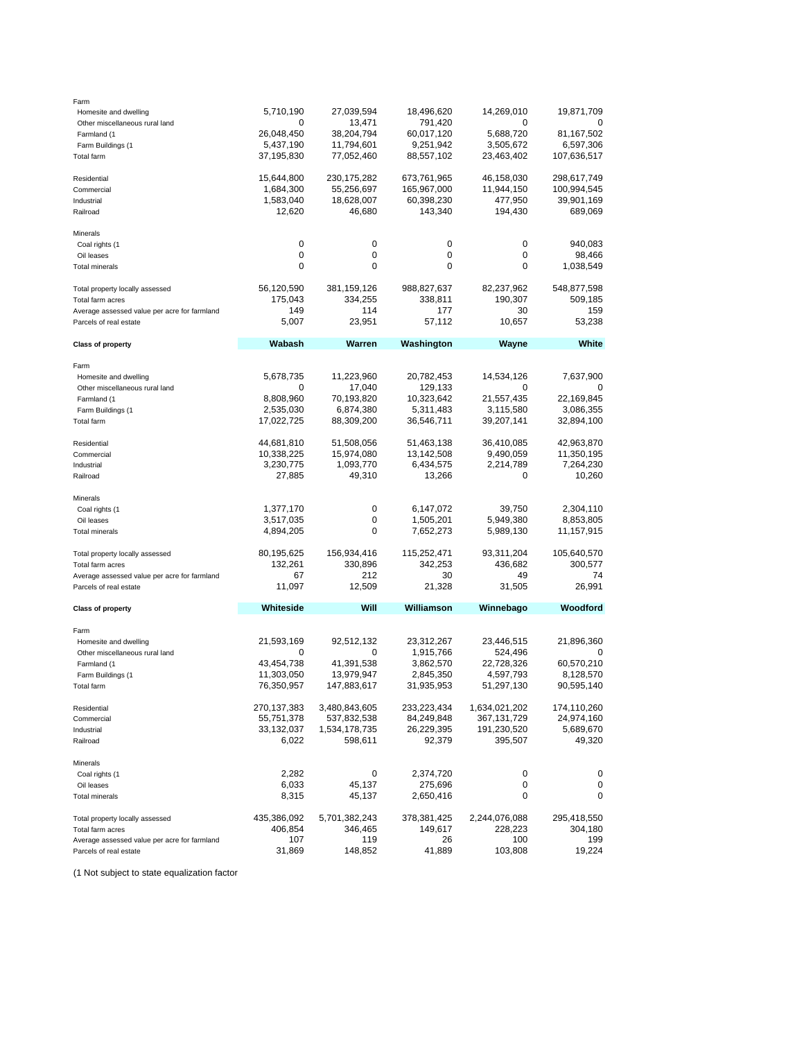| Farm                                         |             |               |             |               |             |
|----------------------------------------------|-------------|---------------|-------------|---------------|-------------|
| Homesite and dwelling                        | 5,710,190   | 27,039,594    | 18,496,620  | 14,269,010    | 19,871,709  |
| Other miscellaneous rural land               |             | 13,471        | 791,420     | O             |             |
| Farmland (1                                  | 26,048,450  | 38,204,794    | 60,017,120  | 5,688,720     | 81,167,502  |
| Farm Buildings (1                            | 5,437,190   | 11,794,601    | 9,251,942   | 3,505,672     | 6,597,306   |
| Total farm                                   | 37,195,830  | 77,052,460    | 88,557,102  | 23,463,402    | 107,636,517 |
| Residential                                  | 15,644,800  | 230,175,282   | 673,761,965 | 46,158,030    | 298,617,749 |
| Commercial                                   | 1,684,300   | 55,256,697    | 165,967,000 | 11,944,150    | 100,994,545 |
| Industrial                                   | 1,583,040   | 18,628,007    | 60,398,230  | 477,950       | 39,901,169  |
| Railroad                                     | 12,620      | 46,680        | 143,340     | 194,430       | 689,069     |
| Minerals                                     |             |               |             |               |             |
| Coal rights (1                               | 0           | 0             | 0           | 0             | 940,083     |
| Oil leases                                   | 0           | 0             | 0           | 0             | 98,466      |
| <b>Total minerals</b>                        | 0           | 0             | 0           | 0             | 1,038,549   |
| Total property locally assessed              | 56,120,590  | 381,159,126   | 988,827,637 | 82,237,962    | 548,877,598 |
| Total farm acres                             | 175,043     | 334,255       | 338,811     | 190,307       | 509,185     |
| Average assessed value per acre for farmland | 149         | 114           | 177         | 30            | 159         |
| Parcels of real estate                       | 5,007       | 23,951        | 57,112      | 10,657        | 53,238      |
| <b>Class of property</b>                     | Wabash      | Warren        | Washington  | <b>Wayne</b>  | White       |
| Farm                                         |             |               |             |               |             |
| Homesite and dwelling                        | 5,678,735   | 11,223,960    | 20,782,453  | 14,534,126    | 7,637,900   |
| Other miscellaneous rural land               | 0           | 17,040        | 129,133     | 0             | 0           |
| Farmland (1                                  | 8,808,960   | 70,193,820    | 10,323,642  | 21,557,435    | 22,169,845  |
|                                              |             | 6,874,380     |             | 3,115,580     |             |
| Farm Buildings (1                            | 2,535,030   |               | 5,311,483   |               | 3,086,355   |
| <b>Total farm</b>                            | 17,022,725  | 88,309,200    | 36,546,711  | 39,207,141    | 32,894,100  |
| Residential                                  | 44,681,810  | 51,508,056    | 51,463,138  | 36,410,085    | 42,963,870  |
| Commercial                                   | 10,338,225  | 15,974,080    | 13,142,508  | 9,490,059     | 11,350,195  |
| Industrial                                   | 3,230,775   | 1,093,770     | 6,434,575   | 2,214,789     | 7,264,230   |
| Railroad                                     | 27,885      | 49,310        | 13,266      | 0             | 10,260      |
| Minerals                                     |             |               |             |               |             |
| Coal rights (1                               | 1,377,170   | 0             | 6,147,072   | 39,750        | 2,304,110   |
| Oil leases                                   | 3,517,035   | 0             | 1,505,201   | 5,949,380     | 8,853,805   |
| <b>Total minerals</b>                        | 4,894,205   | 0             | 7,652,273   | 5,989,130     | 11,157,915  |
| Total property locally assessed              | 80,195,625  | 156,934,416   | 115,252,471 | 93,311,204    | 105,640,570 |
| Total farm acres                             | 132,261     | 330,896       | 342,253     | 436,682       | 300,577     |
| Average assessed value per acre for farmland | 67          | 212           | 30          | 49            | 74          |
| Parcels of real estate                       | 11,097      | 12,509        | 21,328      | 31,505        | 26,991      |
| <b>Class of property</b>                     | Whiteside   | Will          | Williamson  | Winnebago     | Woodford    |
| Farm                                         |             |               |             |               |             |
| Homesite and dwelling                        | 21,593,169  | 92,512,132    | 23,312,267  | 23,446,515    | 21,896,360  |
| Other miscellaneous rural land               | 0           | 0             | 1,915,766   | 524,496       | 0           |
| Farmland (1                                  | 43,454,738  | 41,391,538    | 3,862,570   | 22,728,326    | 60,570,210  |
|                                              |             | 13,979,947    |             |               |             |
| Farm Buildings (1                            | 11,303,050  |               | 2,845,350   | 4,597,793     | 8,128,570   |
| Total farm                                   | 76,350,957  | 147,883,617   | 31,935,953  | 51,297,130    | 90,595,140  |
| Residential                                  | 270,137,383 | 3,480,843,605 | 233,223,434 | 1,634,021,202 | 174,110,260 |
| Commercial                                   | 55,751,378  | 537,832,538   | 84,249,848  | 367, 131, 729 | 24,974,160  |
| Industrial                                   | 33,132,037  | 1,534,178,735 | 26,229,395  | 191,230,520   | 5,689,670   |
| Railroad                                     | 6,022       | 598,611       | 92,379      | 395,507       | 49,320      |
| Minerals                                     |             |               |             |               |             |
| Coal rights (1                               | 2,282       | 0             | 2,374,720   | 0             | 0           |
| Oil leases                                   | 6,033       | 45,137        | 275,696     | 0             | 0           |
| <b>Total minerals</b>                        | 8,315       | 45,137        | 2,650,416   | 0             | 0           |
| Total property locally assessed              | 435,386,092 | 5,701,382,243 | 378,381,425 | 2,244,076,088 | 295,418,550 |
| Total farm acres                             | 406,854     | 346,465       | 149,617     | 228,223       | 304,180     |
| Average assessed value per acre for farmland | 107         | 119           | 26          | 100           | 199         |
| Parcels of real estate                       | 31,869      | 148,852       | 41,889      | 103,808       | 19,224      |

(1 Not subject to state equalization factor